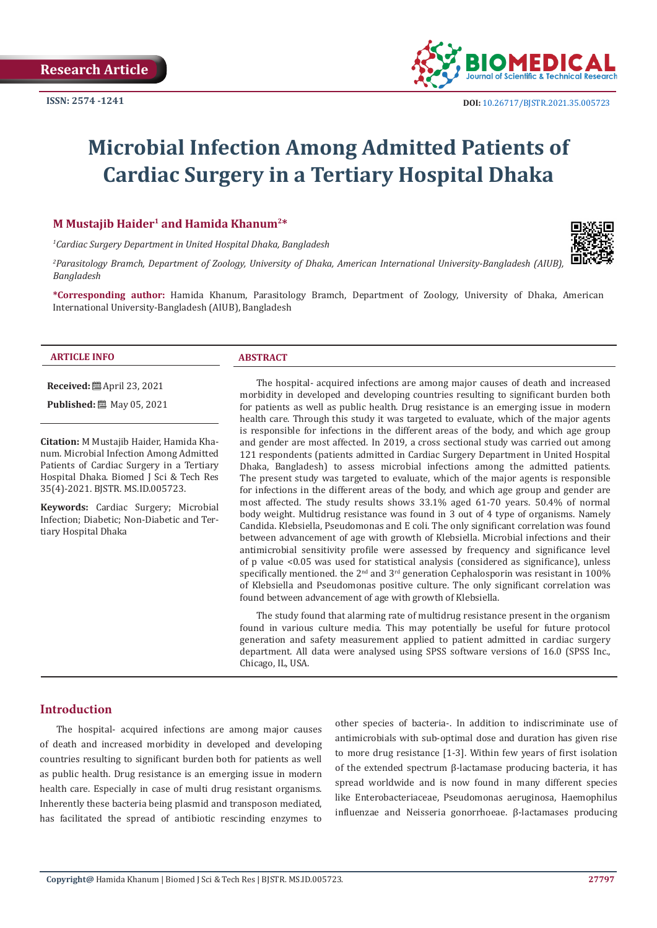

# **Microbial Infection Among Admitted Patients of Cardiac Surgery in a Tertiary Hospital Dhaka**

# **M Mustajib Haider1 and Hamida Khanum2\***

*1 Cardiac Surgery Department in United Hospital Dhaka, Bangladesh*

*2 Parasitology Bramch, Department of Zoology, University of Dhaka, American International University-Bangladesh (AIUB), Bangladesh*

**\*Corresponding author:** Hamida Khanum, Parasitology Bramch, Department of Zoology, University of Dhaka, American International University-Bangladesh (AIUB), Bangladesh

#### **ARTICLE INFO ABSTRACT**

**Received:** April 23, 2021

**Published:** 圖 May 05, 2021

**Citation:** M Mustajib Haider, Hamida Khanum. Microbial Infection Among Admitted Patients of Cardiac Surgery in a Tertiary Hospital Dhaka. Biomed J Sci & Tech Res 35(4)-2021. BJSTR. MS.ID.005723.

**Keywords:** Cardiac Surgery; Microbial Infection; Diabetic; Non-Diabetic and Tertiary Hospital Dhaka

The hospital- acquired infections are among major causes of death and increased morbidity in developed and developing countries resulting to significant burden both for patients as well as public health. Drug resistance is an emerging issue in modern health care. Through this study it was targeted to evaluate, which of the major agents is responsible for infections in the different areas of the body, and which age group and gender are most affected. In 2019, a cross sectional study was carried out among 121 respondents (patients admitted in Cardiac Surgery Department in United Hospital Dhaka, Bangladesh) to assess microbial infections among the admitted patients. The present study was targeted to evaluate, which of the major agents is responsible for infections in the different areas of the body, and which age group and gender are most affected. The study results shows 33.1% aged 61-70 years. 50.4% of normal body weight. Multidrug resistance was found in 3 out of 4 type of organisms. Namely Candida. Klebsiella, Pseudomonas and E coli. The only significant correlation was found between advancement of age with growth of Klebsiella. Microbial infections and their antimicrobial sensitivity profile were assessed by frequency and significance level of p value <0.05 was used for statistical analysis (considered as significance), unless specifically mentioned. the 2<sup>nd</sup> and 3<sup>rd</sup> generation Cephalosporin was resistant in 100% of Klebsiella and Pseudomonas positive culture. The only significant correlation was found between advancement of age with growth of Klebsiella.

The study found that alarming rate of multidrug resistance present in the organism found in various culture media. This may potentially be useful for future protocol generation and safety measurement applied to patient admitted in cardiac surgery department. All data were analysed using SPSS software versions of 16.0 (SPSS Inc., Chicago, IL, USA.

#### **Introduction**

The hospital- acquired infections are among major causes of death and increased morbidity in developed and developing countries resulting to significant burden both for patients as well as public health. Drug resistance is an emerging issue in modern health care. Especially in case of multi drug resistant organisms. Inherently these bacteria being plasmid and transposon mediated, has facilitated the spread of antibiotic rescinding enzymes to

other species of bacteria-. In addition to indiscriminate use of antimicrobials with sub-optimal dose and duration has given rise to more drug resistance [1-3]. Within few years of first isolation of the extended spectrum β-lactamase producing bacteria, it has spread worldwide and is now found in many different species like Enterobacteriaceae, Pseudomonas aeruginosa, Haemophilus influenzae and Neisseria gonorrhoeae. β-lactamases producing

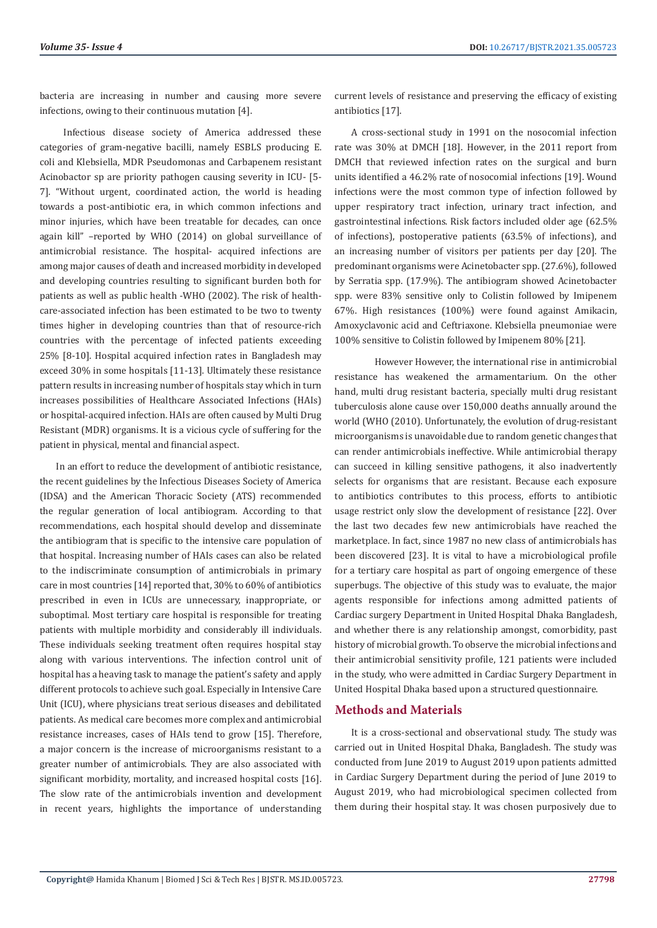bacteria are increasing in number and causing more severe infections, owing to their continuous mutation [4].

 Infectious disease society of America addressed these categories of gram-negative bacilli, namely ESBLS producing E. coli and Klebsiella, MDR Pseudomonas and Carbapenem resistant Acinobactor sp are priority pathogen causing severity in ICU- [5- 7]. "Without urgent, coordinated action, the world is heading towards a post-antibiotic era, in which common infections and minor injuries, which have been treatable for decades, can once again kill" –reported by WHO (2014) on global surveillance of antimicrobial resistance. The hospital- acquired infections are among major causes of death and increased morbidity in developed and developing countries resulting to significant burden both for patients as well as public health -WHO (2002). The risk of healthcare-associated infection has been estimated to be two to twenty times higher in developing countries than that of resource-rich countries with the percentage of infected patients exceeding 25% [8-10]. Hospital acquired infection rates in Bangladesh may exceed 30% in some hospitals [11-13]. Ultimately these resistance pattern results in increasing number of hospitals stay which in turn increases possibilities of Healthcare Associated Infections (HAIs) or hospital-acquired infection. HAIs are often caused by Multi Drug Resistant (MDR) organisms. It is a vicious cycle of suffering for the patient in physical, mental and financial aspect.

In an effort to reduce the development of antibiotic resistance, the recent guidelines by the Infectious Diseases Society of America (IDSA) and the American Thoracic Society (ATS) recommended the regular generation of local antibiogram. According to that recommendations, each hospital should develop and disseminate the antibiogram that is specific to the intensive care population of that hospital. Increasing number of HAIs cases can also be related to the indiscriminate consumption of antimicrobials in primary care in most countries [14] reported that, 30% to 60% of antibiotics prescribed in even in ICUs are unnecessary, inappropriate, or suboptimal. Most tertiary care hospital is responsible for treating patients with multiple morbidity and considerably ill individuals. These individuals seeking treatment often requires hospital stay along with various interventions. The infection control unit of hospital has a heaving task to manage the patient's safety and apply different protocols to achieve such goal. Especially in Intensive Care Unit (ICU), where physicians treat serious diseases and debilitated patients. As medical care becomes more complex and antimicrobial resistance increases, cases of HAIs tend to grow [15]. Therefore, a major concern is the increase of microorganisms resistant to a greater number of antimicrobials. They are also associated with significant morbidity, mortality, and increased hospital costs [16]. The slow rate of the antimicrobials invention and development in recent years, highlights the importance of understanding

current levels of resistance and preserving the efficacy of existing antibiotics [17].

A cross-sectional study in 1991 on the nosocomial infection rate was 30% at DMCH [18]. However, in the 2011 report from DMCH that reviewed infection rates on the surgical and burn units identified a 46.2% rate of nosocomial infections [19]. Wound infections were the most common type of infection followed by upper respiratory tract infection, urinary tract infection, and gastrointestinal infections. Risk factors included older age (62.5% of infections), postoperative patients (63.5% of infections), and an increasing number of visitors per patients per day [20]. The predominant organisms were Acinetobacter spp. (27.6%), followed by Serratia spp. (17.9%). The antibiogram showed Acinetobacter spp. were 83% sensitive only to Colistin followed by Imipenem 67%. High resistances (100%) were found against Amikacin, Amoxyclavonic acid and Ceftriaxone. Klebsiella pneumoniae were 100% sensitive to Colistin followed by Imipenem 80% [21].

However However, the international rise in antimicrobial resistance has weakened the armamentarium. On the other hand, multi drug resistant bacteria, specially multi drug resistant tuberculosis alone cause over 150,000 deaths annually around the world (WHO (2010). Unfortunately, the evolution of drug-resistant microorganisms is unavoidable due to random genetic changes that can render antimicrobials ineffective. While antimicrobial therapy can succeed in killing sensitive pathogens, it also inadvertently selects for organisms that are resistant. Because each exposure to antibiotics contributes to this process, efforts to antibiotic usage restrict only slow the development of resistance [22]. Over the last two decades few new antimicrobials have reached the marketplace. In fact, since 1987 no new class of antimicrobials has been discovered [23]. It is vital to have a microbiological profile for a tertiary care hospital as part of ongoing emergence of these superbugs. The objective of this study was to evaluate, the major agents responsible for infections among admitted patients of Cardiac surgery Department in United Hospital Dhaka Bangladesh, and whether there is any relationship amongst, comorbidity, past history of microbial growth. To observe the microbial infections and their antimicrobial sensitivity profile, 121 patients were included in the study, who were admitted in Cardiac Surgery Department in United Hospital Dhaka based upon a structured questionnaire.

# **Methods and Materials**

It is a cross-sectional and observational study. The study was carried out in United Hospital Dhaka, Bangladesh. The study was conducted from June 2019 to August 2019 upon patients admitted in Cardiac Surgery Department during the period of June 2019 to August 2019, who had microbiological specimen collected from them during their hospital stay. It was chosen purposively due to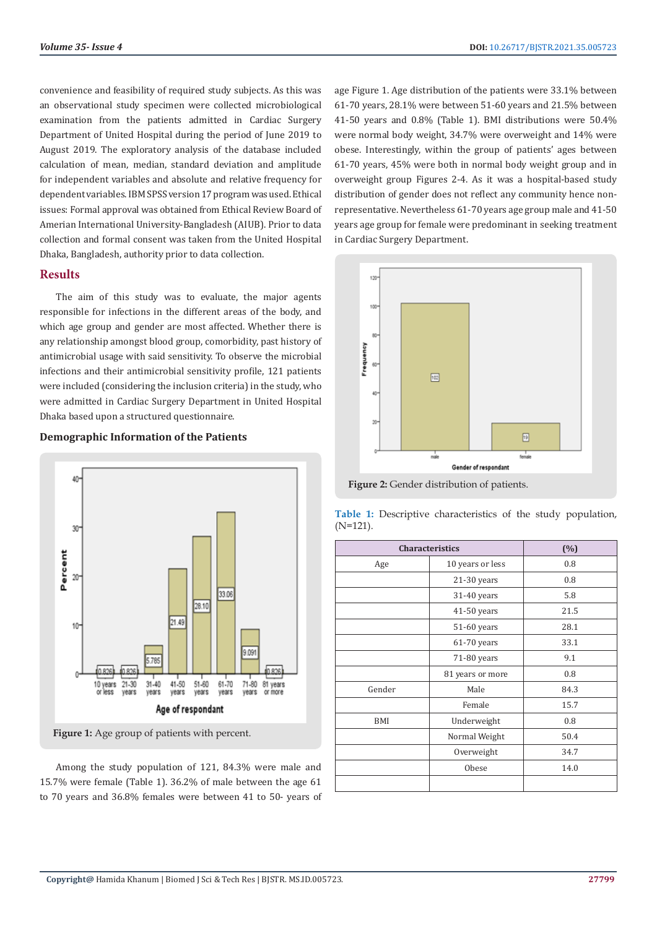convenience and feasibility of required study subjects. As this was an observational study specimen were collected microbiological examination from the patients admitted in Cardiac Surgery Department of United Hospital during the period of June 2019 to August 2019. The exploratory analysis of the database included calculation of mean, median, standard deviation and amplitude for independent variables and absolute and relative frequency for dependent variables. IBM SPSS version 17 program was used. Ethical issues: Formal approval was obtained from Ethical Review Board of Amerian International University-Bangladesh (AIUB). Prior to data collection and formal consent was taken from the United Hospital Dhaka, Bangladesh, authority prior to data collection.

# **Results**

The aim of this study was to evaluate, the major agents responsible for infections in the different areas of the body, and which age group and gender are most affected. Whether there is any relationship amongst blood group, comorbidity, past history of antimicrobial usage with said sensitivity. To observe the microbial infections and their antimicrobial sensitivity profile, 121 patients were included (considering the inclusion criteria) in the study, who were admitted in Cardiac Surgery Department in United Hospital Dhaka based upon a structured questionnaire.

#### **Demographic Information of the Patients**



**Figure 1:** Age group of patients with percent.

Among the study population of 121, 84.3% were male and 15.7% were female (Table 1). 36.2% of male between the age 61 to 70 years and 36.8% females were between 41 to 50- years of age Figure 1. Age distribution of the patients were 33.1% between 61-70 years, 28.1% were between 51-60 years and 21.5% between 41-50 years and 0.8% (Table 1). BMI distributions were 50.4% were normal body weight, 34.7% were overweight and 14% were obese. Interestingly, within the group of patients' ages between 61-70 years, 45% were both in normal body weight group and in overweight group Figures 2-4. As it was a hospital-based study distribution of gender does not reflect any community hence nonrepresentative. Nevertheless 61-70 years age group male and 41-50 years age group for female were predominant in seeking treatment in Cardiac Surgery Department.



**Figure 2:** Gender distribution of patients.

| <b>Characteristics</b> | (%)              |      |
|------------------------|------------------|------|
| Age                    | 10 years or less | 0.8  |
|                        | $21-30$ years    | 0.8  |
|                        | 31-40 years      | 5.8  |
|                        | 41-50 years      | 21.5 |
|                        | 51-60 years      | 28.1 |
|                        | 61-70 years      | 33.1 |
|                        | 71-80 years      | 9.1  |
|                        | 81 years or more | 0.8  |
| Gender                 | Male             | 84.3 |
|                        | Female           | 15.7 |
| BMI                    | Underweight      | 0.8  |
|                        | Normal Weight    | 50.4 |
|                        | Overweight       | 34.7 |
|                        | Obese            | 14.0 |
|                        |                  |      |

**Table 1:** Descriptive characteristics of the study population, (N=121).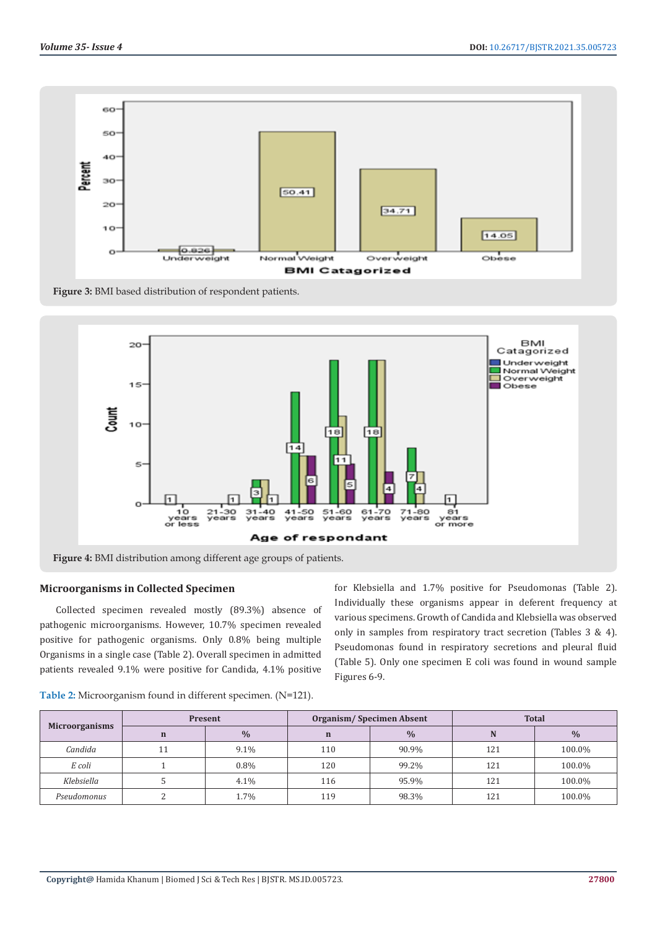





#### **Microorganisms in Collected Specimen**

Collected specimen revealed mostly (89.3%) absence of pathogenic microorganisms. However, 10.7% specimen revealed positive for pathogenic organisms. Only 0.8% being multiple Organisms in a single case (Table 2). Overall specimen in admitted patients revealed 9.1% were positive for Candida, 4.1% positive

for Klebsiella and 1.7% positive for Pseudomonas (Table 2). Individually these organisms appear in deferent frequency at various specimens. Growth of Candida and Klebsiella was observed only in samples from respiratory tract secretion (Tables 3 & 4). Pseudomonas found in respiratory secretions and pleural fluid (Table 5). Only one specimen E coli was found in wound sample Figures 6-9.

|                       |             | Present       |             | Organism/Specimen Absent | <b>Total</b> |               |
|-----------------------|-------------|---------------|-------------|--------------------------|--------------|---------------|
| <b>Microorganisms</b> | $\mathbf n$ | $\frac{0}{0}$ | $\mathbf n$ | $\%$                     | N            | $\frac{0}{0}$ |
| Candida               | 11          | 9.1%          | 110         | 90.9%                    | 121          | 100.0%        |
| E coli                |             | $0.8\%$       | 120         | 99.2%                    | 121          | 100.0%        |
| Klebsiella            |             | 4.1%          | 116         | 95.9%                    | 121          | 100.0%        |
| Pseudomonus           |             | 1.7%          | 119         | 98.3%                    | 121          | 100.0%        |

**Table 2:** Microorganism found in different specimen. (N=121).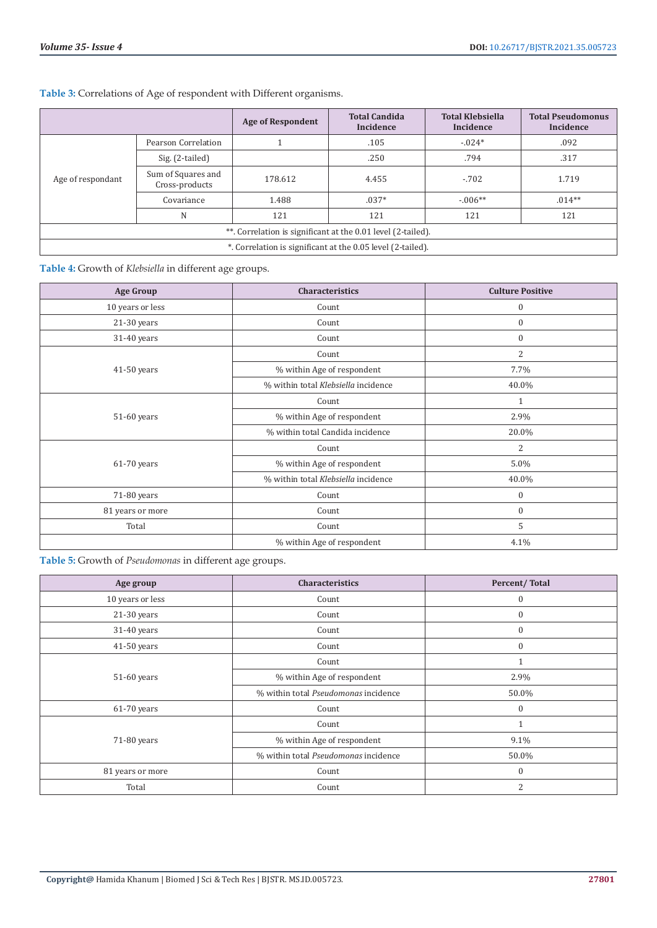**Table 3:** Correlations of Age of respondent with Different organisms.

|                                                              |                                      | <b>Age of Respondent</b> | <b>Total Candida</b><br>Incidence | <b>Total Klebsiella</b><br>Incidence | <b>Total Pseudomonus</b><br>Incidence |
|--------------------------------------------------------------|--------------------------------------|--------------------------|-----------------------------------|--------------------------------------|---------------------------------------|
| Age of respondant                                            | Pearson Correlation                  |                          | .105                              | $-.024*$                             | .092                                  |
|                                                              | Sig. (2-tailed)                      |                          | .250                              | .794                                 | .317                                  |
|                                                              | Sum of Squares and<br>Cross-products | 178.612                  | 4.455                             | $-702$                               | 1.719                                 |
|                                                              | Covariance                           | 1.488                    | $.037*$                           | $-0.06**$                            | $.014**$                              |
|                                                              | N                                    | 121                      | 121                               | 121                                  | 121                                   |
| **. Correlation is significant at the 0.01 level (2-tailed). |                                      |                          |                                   |                                      |                                       |
| *. Correlation is significant at the 0.05 level (2-tailed).  |                                      |                          |                                   |                                      |                                       |

**Table 4:** Growth of *Klebsiella* in different age groups.

| <b>Age Group</b> | Characteristics                     | <b>Culture Positive</b> |
|------------------|-------------------------------------|-------------------------|
| 10 years or less | Count                               | $\boldsymbol{0}$        |
| 21-30 years      | Count                               | $\boldsymbol{0}$        |
| 31-40 years      | Count                               | $\boldsymbol{0}$        |
| $41-50$ years    | Count                               | $\overline{2}$          |
|                  | % within Age of respondent          | 7.7%                    |
|                  | % within total Klebsiella incidence | 40.0%                   |
| 51-60 years      | Count                               | $\mathbf{1}$            |
|                  | % within Age of respondent          | 2.9%                    |
|                  | % within total Candida incidence    | 20.0%                   |
| $61-70$ years    | Count                               | $\overline{2}$          |
|                  | % within Age of respondent          | 5.0%                    |
|                  | % within total Klebsiella incidence | 40.0%                   |
| 71-80 years      | Count                               | $\boldsymbol{0}$        |
| 81 years or more | Count                               | $\boldsymbol{0}$        |
| Total            | Count                               | 5                       |
|                  | % within Age of respondent          | 4.1%                    |

**Table 5:** Growth of *Pseudomonas* in different age groups.

| Age group        | Characteristics                      | Percent/Total    |
|------------------|--------------------------------------|------------------|
| 10 years or less | Count                                | $\mathbf{0}$     |
| 21-30 years      | Count                                | $\boldsymbol{0}$ |
| 31-40 years      | Count                                | $\boldsymbol{0}$ |
| 41-50 years      | Count                                | $\mathbf{0}$     |
| 51-60 years      | Count                                |                  |
|                  | % within Age of respondent           | 2.9%             |
|                  | % within total Pseudomonas incidence | 50.0%            |
| $61-70$ years    | Count                                | $\mathbf{0}$     |
| 71-80 years      | Count                                |                  |
|                  | % within Age of respondent           | 9.1%             |
|                  | % within total Pseudomonas incidence | 50.0%            |
| 81 years or more | Count                                | $\boldsymbol{0}$ |
| Total            | Count                                | $\overline{2}$   |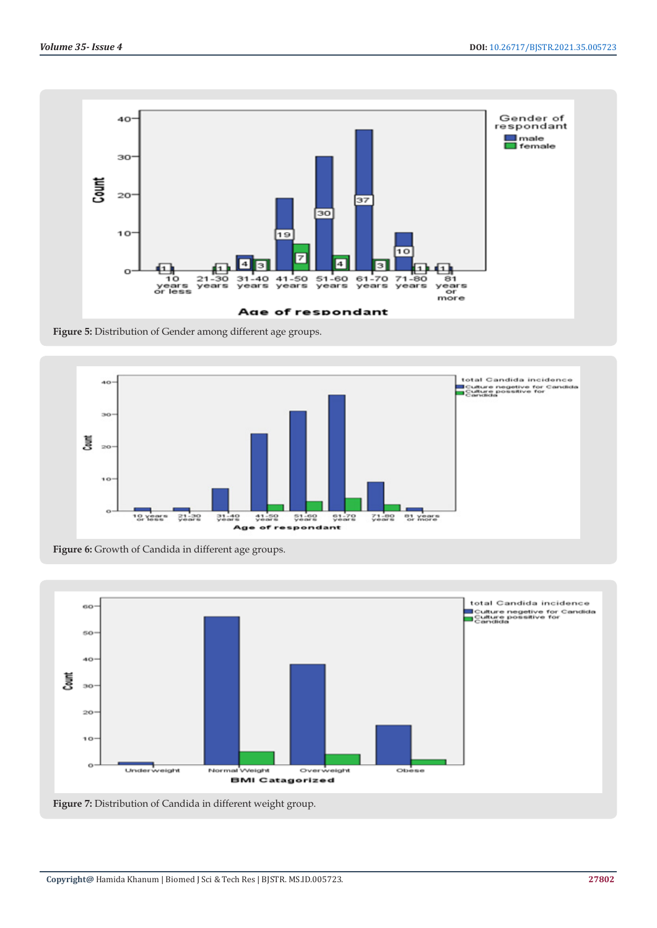

**Figure 5:** Distribution of Gender among different age groups.



total Candida incidence 60 Total Sandra's Incluence<br>Toulture negetive for Candida<br>Toandida so 40 J<br>S  $30^{\circ}$  $20$ 

**BMI Catagorized** 

Overweight

 $rac{1}{1}$ 

OЬ

**Figure 6:** Growth of Candida in different age groups.



Normal Weight

Underweight

10

 $\circ$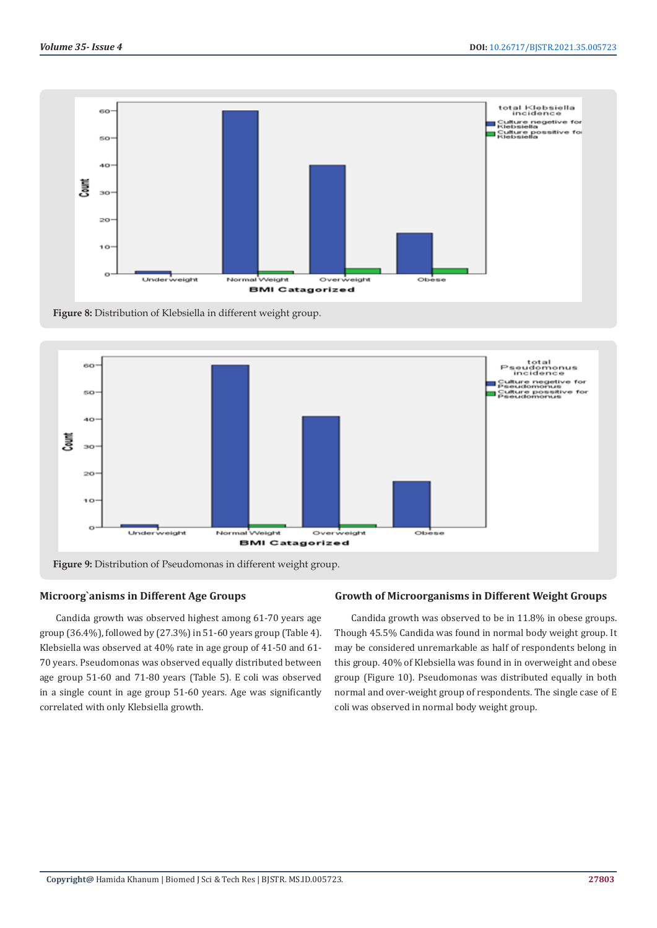

**Figure 8:** Distribution of Klebsiella in different weight group.



# **Figure 9:** Distribution of Pseudomonas in different weight group.

# **Microorg`anisms in Different Age Groups**

Candida growth was observed highest among 61-70 years age group (36.4%), followed by (27.3%) in 51-60 years group (Table 4). Klebsiella was observed at 40% rate in age group of 41-50 and 61- 70 years. Pseudomonas was observed equally distributed between age group 51-60 and 71-80 years (Table 5). E coli was observed in a single count in age group 51-60 years. Age was significantly correlated with only Klebsiella growth.

#### **Growth of Microorganisms in Different Weight Groups**

Candida growth was observed to be in 11.8% in obese groups. Though 45.5% Candida was found in normal body weight group. It may be considered unremarkable as half of respondents belong in this group. 40% of Klebsiella was found in in overweight and obese group (Figure 10). Pseudomonas was distributed equally in both normal and over-weight group of respondents. The single case of E coli was observed in normal body weight group.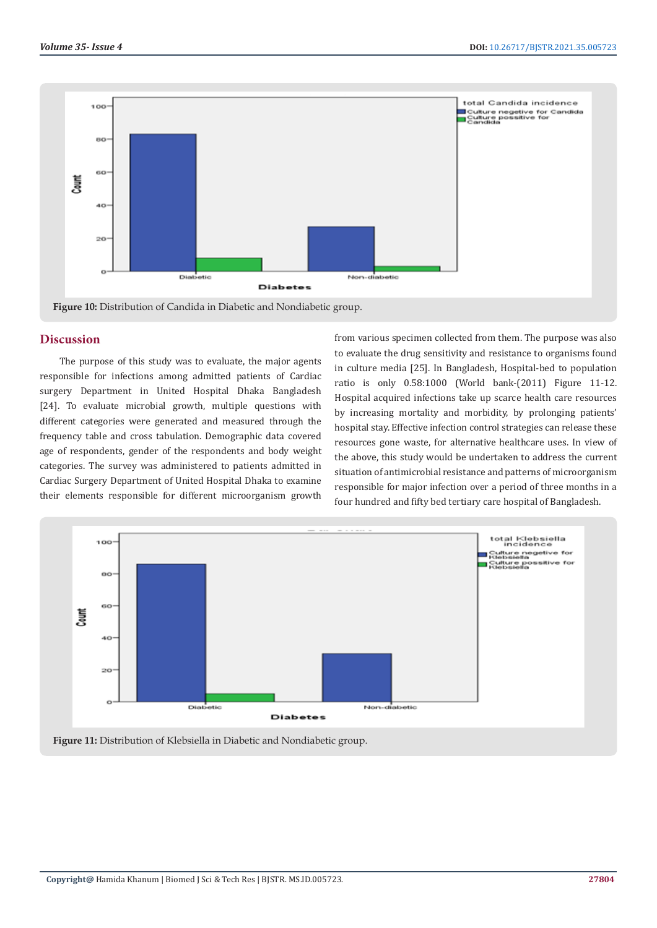



#### **Discussion**

 The purpose of this study was to evaluate, the major agents responsible for infections among admitted patients of Cardiac surgery Department in United Hospital Dhaka Bangladesh [24]. To evaluate microbial growth, multiple questions with different categories were generated and measured through the frequency table and cross tabulation. Demographic data covered age of respondents, gender of the respondents and body weight categories. The survey was administered to patients admitted in Cardiac Surgery Department of United Hospital Dhaka to examine their elements responsible for different microorganism growth

from various specimen collected from them. The purpose was also to evaluate the drug sensitivity and resistance to organisms found in culture media [25]. In Bangladesh, Hospital-bed to population ratio is only 0.58:1000 (World bank-(2011) Figure 11-12. Hospital acquired infections take up scarce health care resources by increasing mortality and morbidity, by prolonging patients' hospital stay. Effective infection control strategies can release these resources gone waste, for alternative healthcare uses. In view of the above, this study would be undertaken to address the current situation of antimicrobial resistance and patterns of microorganism responsible for major infection over a period of three months in a four hundred and fifty bed tertiary care hospital of Bangladesh.



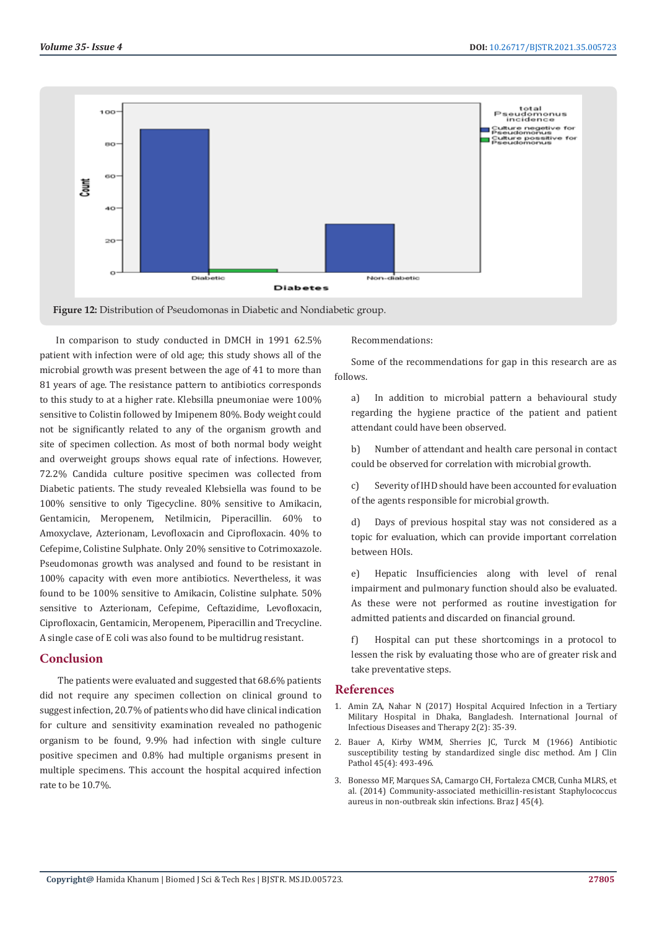



In comparison to study conducted in DMCH in 1991 62.5% patient with infection were of old age; this study shows all of the microbial growth was present between the age of 41 to more than 81 years of age. The resistance pattern to antibiotics corresponds to this study to at a higher rate. Klebsilla pneumoniae were 100% sensitive to Colistin followed by Imipenem 80%. Body weight could not be significantly related to any of the organism growth and site of specimen collection. As most of both normal body weight and overweight groups shows equal rate of infections. However, 72.2% Candida culture positive specimen was collected from Diabetic patients. The study revealed Klebsiella was found to be 100% sensitive to only Tigecycline. 80% sensitive to Amikacin, Gentamicin, Meropenem, Netilmicin, Piperacillin. 60% to Amoxyclave, Azterionam, Levofloxacin and Ciprofloxacin. 40% to Cefepime, Colistine Sulphate. Only 20% sensitive to Cotrimoxazole. Pseudomonas growth was analysed and found to be resistant in 100% capacity with even more antibiotics. Nevertheless, it was found to be 100% sensitive to Amikacin, Colistine sulphate. 50% sensitive to Azterionam, Cefepime, Ceftazidime, Levofloxacin, Ciprofloxacin, Gentamicin, Meropenem, Piperacillin and Trecycline. A single case of E coli was also found to be multidrug resistant.

# **Conclusion**

 The patients were evaluated and suggested that 68.6% patients did not require any specimen collection on clinical ground to suggest infection, 20.7% of patients who did have clinical indication for culture and sensitivity examination revealed no pathogenic organism to be found, 9.9% had infection with single culture positive specimen and 0.8% had multiple organisms present in multiple specimens. This account the hospital acquired infection rate to be 10.7%.

Recommendations:

Some of the recommendations for gap in this research are as follows.

a) In addition to microbial pattern a behavioural study regarding the hygiene practice of the patient and patient attendant could have been observed.

b) Number of attendant and health care personal in contact could be observed for correlation with microbial growth.

c) Severity of IHD should have been accounted for evaluation of the agents responsible for microbial growth.

d) Days of previous hospital stay was not considered as a topic for evaluation, which can provide important correlation between HOIs.

e) Hepatic Insufficiencies along with level of renal impairment and pulmonary function should also be evaluated. As these were not performed as routine investigation for admitted patients and discarded on financial ground.

f) Hospital can put these shortcomings in a protocol to lessen the risk by evaluating those who are of greater risk and take preventative steps.

#### **References**

- 1. [Amin ZA, Nahar N \(2017\) Hospital Acquired Infection in a Tertiary](http://www.sciencepublishinggroup.com/journal/paperinfo?journalid=280&doi=10.11648/j.ijidt.20170202.12) [Military Hospital in Dhaka, Bangladesh. International Journal of](http://www.sciencepublishinggroup.com/journal/paperinfo?journalid=280&doi=10.11648/j.ijidt.20170202.12) [Infectious Diseases and Therapy 2\(2\): 35-39.](http://www.sciencepublishinggroup.com/journal/paperinfo?journalid=280&doi=10.11648/j.ijidt.20170202.12)
- 2. [Bauer A, Kirby WMM, Sherries JC, Turck M \(1966\) Antibiotic](https://pubmed.ncbi.nlm.nih.gov/5325707/) [susceptibility testing by standardized single disc method. Am J Clin](https://pubmed.ncbi.nlm.nih.gov/5325707/) [Pathol 45\(4\): 493-496.](https://pubmed.ncbi.nlm.nih.gov/5325707/)
- 3. [Bonesso MF, Marques SA, Camargo CH, Fortaleza CMCB, Cunha MLRS, et](https://www.scielo.br/scielo.php?script=sci_arttext&pid=S1517-83822014000400034) [al. \(2014\) Community-associated methicillin-resistant Staphylococcus](https://www.scielo.br/scielo.php?script=sci_arttext&pid=S1517-83822014000400034) [aureus in non-outbreak skin infections. Braz J 45\(4\).](https://www.scielo.br/scielo.php?script=sci_arttext&pid=S1517-83822014000400034)